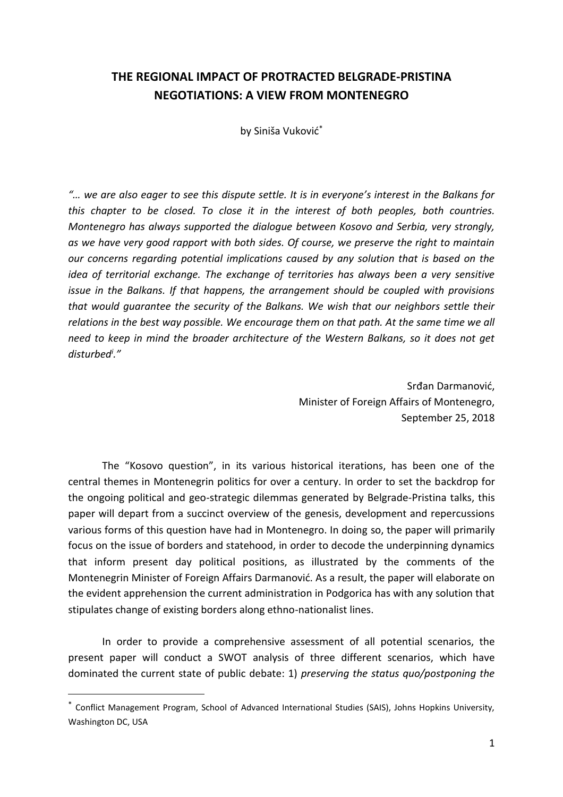## **THE REGIONAL IMPACT OF PROTRACTED BELGRADE-PRISTINA NEGOTIATIONS: A VIEW FROM MONTENEGRO**

by Siniša Vuković\*

*"… we are also eager to see this dispute settle. It is in everyone's interest in the Balkans for this chapter to be closed. To close it in the interest of both peoples, both countries. Montenegro has always supported the dialogue between Kosovo and Serbia, very strongly, as we have very good rapport with both sides. Of course, we preserve the right to maintain our concerns regarding potential implications caused by any solution that is based on the idea of territorial exchange. The exchange of territories has always been a very sensitive issue in the Balkans. If that happens, the arrangement should be coupled with provisions that would guarantee the security of the Balkans. We wish that our neighbors settle their relations in the best way possible. We encourage them on that path. At the same time we all need to keep in mind the broader architecture of the Western Balkans, so it does not get disturbed<sup>i</sup> ."*

> Srđan Darmanović, Minister of Foreign Affairs of Montenegro, September 25, 2018

The "Kosovo question", in its various historical iterations, has been one of the central themes in Montenegrin politics for over a century. In order to set the backdrop for the ongoing political and geo-strategic dilemmas generated by Belgrade-Pristina talks, this paper will depart from a succinct overview of the genesis, development and repercussions various forms of this question have had in Montenegro. In doing so, the paper will primarily focus on the issue of borders and statehood, in order to decode the underpinning dynamics that inform present day political positions, as illustrated by the comments of the Montenegrin Minister of Foreign Affairs Darmanović. As a result, the paper will elaborate on the evident apprehension the current administration in Podgorica has with any solution that stipulates change of existing borders along ethno-nationalist lines.

In order to provide a comprehensive assessment of all potential scenarios, the present paper will conduct a SWOT analysis of three different scenarios, which have dominated the current state of public debate: 1) *preserving the status quo/postponing the* 

<sup>\*</sup> Conflict Management Program, School of Advanced International Studies (SAIS), Johns Hopkins University, Washington DC, USA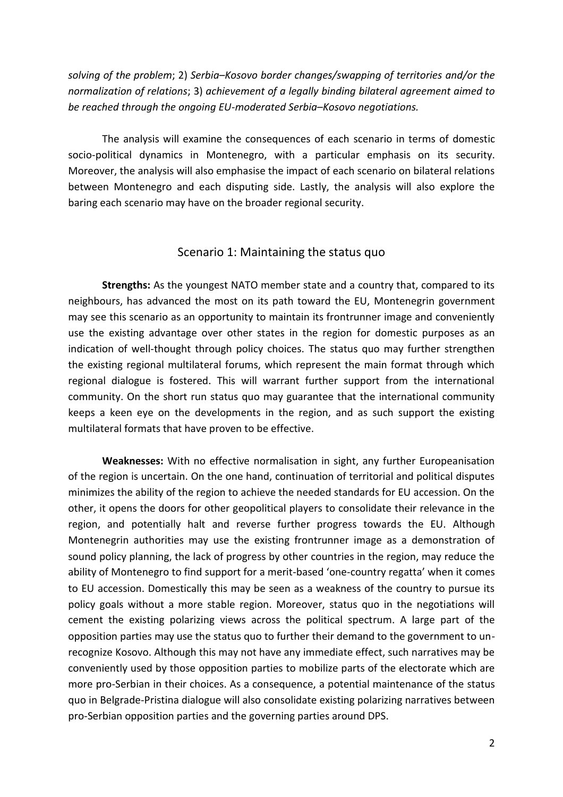*solving of the problem*; 2) *Serbia–Kosovo border changes/swapping of territories and/or the normalization of relations*; 3) *achievement of a legally binding bilateral agreement aimed to be reached through the ongoing EU-moderated Serbia–Kosovo negotiations.*

The analysis will examine the consequences of each scenario in terms of domestic socio-political dynamics in Montenegro, with a particular emphasis on its security. Moreover, the analysis will also emphasise the impact of each scenario on bilateral relations between Montenegro and each disputing side. Lastly, the analysis will also explore the baring each scenario may have on the broader regional security.

## Scenario 1: Maintaining the status quo

**Strengths:** As the youngest NATO member state and a country that, compared to its neighbours, has advanced the most on its path toward the EU, Montenegrin government may see this scenario as an opportunity to maintain its frontrunner image and conveniently use the existing advantage over other states in the region for domestic purposes as an indication of well-thought through policy choices. The status quo may further strengthen the existing regional multilateral forums, which represent the main format through which regional dialogue is fostered. This will warrant further support from the international community. On the short run status quo may guarantee that the international community keeps a keen eye on the developments in the region, and as such support the existing multilateral formats that have proven to be effective.

**Weaknesses:** With no effective normalisation in sight, any further Europeanisation of the region is uncertain. On the one hand, continuation of territorial and political disputes minimizes the ability of the region to achieve the needed standards for EU accession. On the other, it opens the doors for other geopolitical players to consolidate their relevance in the region, and potentially halt and reverse further progress towards the EU. Although Montenegrin authorities may use the existing frontrunner image as a demonstration of sound policy planning, the lack of progress by other countries in the region, may reduce the ability of Montenegro to find support for a merit-based 'one-country regatta' when it comes to EU accession. Domestically this may be seen as a weakness of the country to pursue its policy goals without a more stable region. Moreover, status quo in the negotiations will cement the existing polarizing views across the political spectrum. A large part of the opposition parties may use the status quo to further their demand to the government to unrecognize Kosovo. Although this may not have any immediate effect, such narratives may be conveniently used by those opposition parties to mobilize parts of the electorate which are more pro-Serbian in their choices. As a consequence, a potential maintenance of the status quo in Belgrade-Pristina dialogue will also consolidate existing polarizing narratives between pro-Serbian opposition parties and the governing parties around DPS.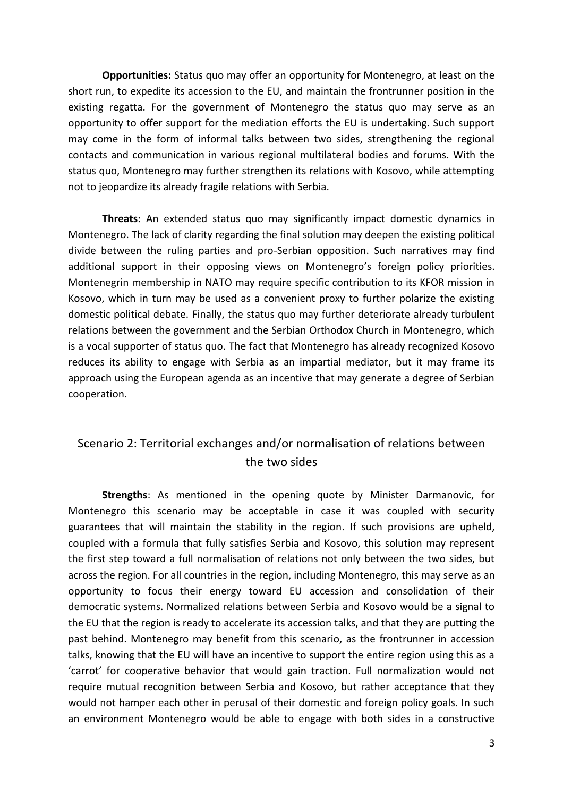**Opportunities:** Status quo may offer an opportunity for Montenegro, at least on the short run, to expedite its accession to the EU, and maintain the frontrunner position in the existing regatta. For the government of Montenegro the status quo may serve as an opportunity to offer support for the mediation efforts the EU is undertaking. Such support may come in the form of informal talks between two sides, strengthening the regional contacts and communication in various regional multilateral bodies and forums. With the status quo, Montenegro may further strengthen its relations with Kosovo, while attempting not to jeopardize its already fragile relations with Serbia.

**Threats:** An extended status quo may significantly impact domestic dynamics in Montenegro. The lack of clarity regarding the final solution may deepen the existing political divide between the ruling parties and pro-Serbian opposition. Such narratives may find additional support in their opposing views on Montenegro's foreign policy priorities. Montenegrin membership in NATO may require specific contribution to its KFOR mission in Kosovo, which in turn may be used as a convenient proxy to further polarize the existing domestic political debate. Finally, the status quo may further deteriorate already turbulent relations between the government and the Serbian Orthodox Church in Montenegro, which is a vocal supporter of status quo. The fact that Montenegro has already recognized Kosovo reduces its ability to engage with Serbia as an impartial mediator, but it may frame its approach using the European agenda as an incentive that may generate a degree of Serbian cooperation.

## Scenario 2: Territorial exchanges and/or normalisation of relations between the two sides

**Strengths**: As mentioned in the opening quote by Minister Darmanovic, for Montenegro this scenario may be acceptable in case it was coupled with security guarantees that will maintain the stability in the region. If such provisions are upheld, coupled with a formula that fully satisfies Serbia and Kosovo, this solution may represent the first step toward a full normalisation of relations not only between the two sides, but across the region. For all countries in the region, including Montenegro, this may serve as an opportunity to focus their energy toward EU accession and consolidation of their democratic systems. Normalized relations between Serbia and Kosovo would be a signal to the EU that the region is ready to accelerate its accession talks, and that they are putting the past behind. Montenegro may benefit from this scenario, as the frontrunner in accession talks, knowing that the EU will have an incentive to support the entire region using this as a 'carrot' for cooperative behavior that would gain traction. Full normalization would not require mutual recognition between Serbia and Kosovo, but rather acceptance that they would not hamper each other in perusal of their domestic and foreign policy goals. In such an environment Montenegro would be able to engage with both sides in a constructive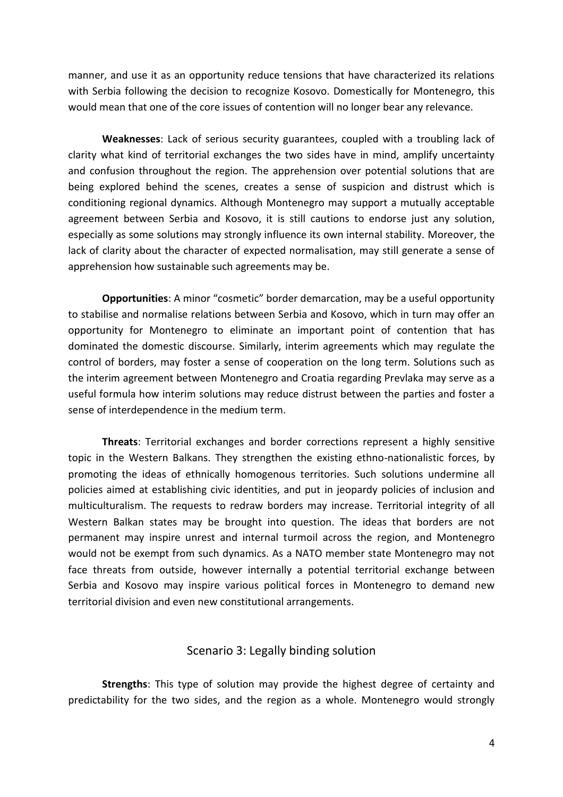manner, and use it as an opportunity reduce tensions that have characterized its relations with Serbia following the decision to recognize Kosovo. Domestically for Montenegro, this would mean that one of the core issues of contention will no longer bear any relevance.

**Weaknesses**: Lack of serious security guarantees, coupled with a troubling lack of clarity what kind of territorial exchanges the two sides have in mind, amplify uncertainty and confusion throughout the region. The apprehension over potential solutions that are being explored behind the scenes, creates a sense of suspicion and distrust which is conditioning regional dynamics. Although Montenegro may support a mutually acceptable agreement between Serbia and Kosovo, it is still cautions to endorse just any solution, especially as some solutions may strongly influence its own internal stability. Moreover, the lack of clarity about the character of expected normalisation, may still generate a sense of apprehension how sustainable such agreements may be.

**Opportunities**: A minor "cosmetic" border demarcation, may be a useful opportunity to stabilise and normalise relations between Serbia and Kosovo, which in turn may offer an opportunity for Montenegro to eliminate an important point of contention that has dominated the domestic discourse. Similarly, interim agreements which may regulate the control of borders, may foster a sense of cooperation on the long term. Solutions such as the interim agreement between Montenegro and Croatia regarding Prevlaka may serve as a useful formula how interim solutions may reduce distrust between the parties and foster a sense of interdependence in the medium term.

**Threats**: Territorial exchanges and border corrections represent a highly sensitive topic in the Western Balkans. They strengthen the existing ethno-nationalistic forces, by promoting the ideas of ethnically homogenous territories. Such solutions undermine all policies aimed at establishing civic identities, and put in jeopardy policies of inclusion and multiculturalism. The requests to redraw borders may increase. Territorial integrity of all Western Balkan states may be brought into question. The ideas that borders are not permanent may inspire unrest and internal turmoil across the region, and Montenegro would not be exempt from such dynamics. As a NATO member state Montenegro may not face threats from outside, however internally a potential territorial exchange between Serbia and Kosovo may inspire various political forces in Montenegro to demand new territorial division and even new constitutional arrangements.

## Scenario 3: Legally binding solution

**Strengths**: This type of solution may provide the highest degree of certainty and predictability for the two sides, and the region as a whole. Montenegro would strongly